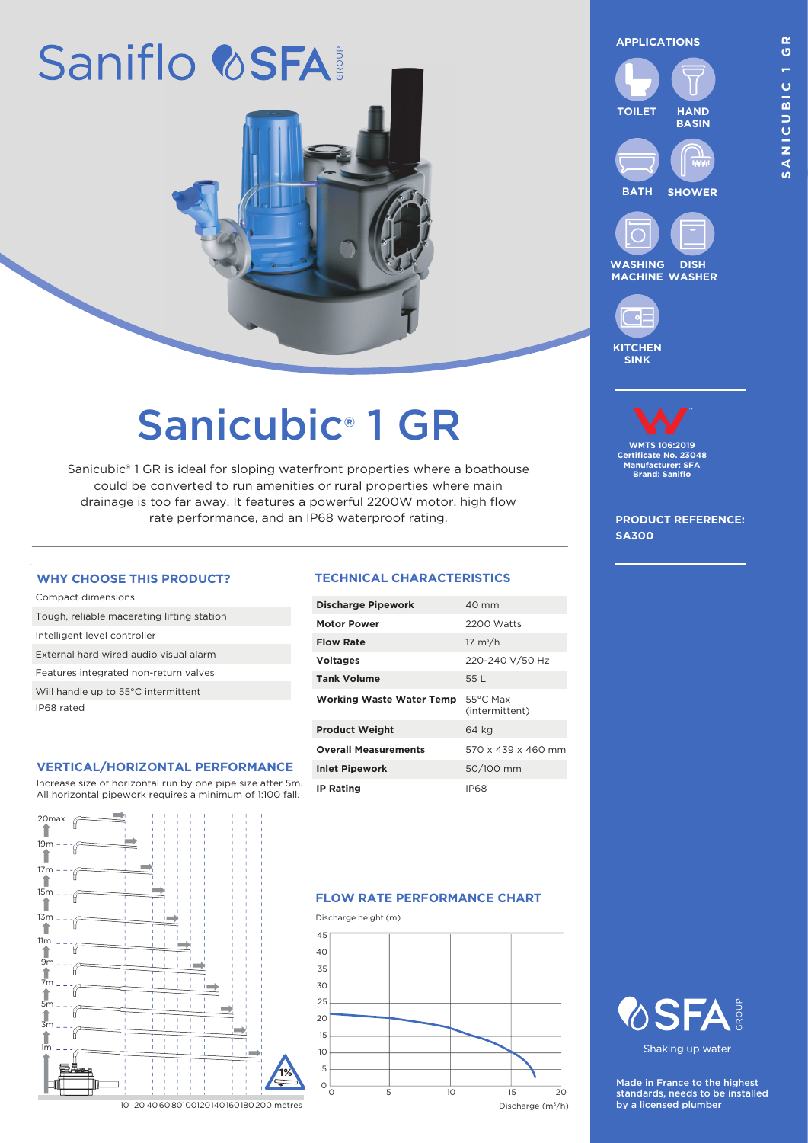# Saniflo & SFA

## Sanicubic® 1 GR

Sanicubic® 1 GR is ideal for sloping waterfront properties where a boathouse could be converted to run amenities or rural properties where main drainage is too far away. It features a powerful 2200W motor, high flow rate performance, and an IP68 waterproof rating.

| Compact dimensions                         |
|--------------------------------------------|
| Tough, reliable macerating lifting station |
| Intelligent level controller               |
| External hard wired audio visual alarm     |
| Features integrated non-return valves      |
| Will handle up to 55°C intermittent        |
| IP68 rated                                 |
|                                            |

#### **VERTICAL/HORIZONTAL PERFORMANCE**

Increase size of horizontal run by one pipe size after 5m. All horizontal pipework requires a minimum of 1:100 fall.



#### **WHY CHOOSE THIS PRODUCT? TECHNICAL CHARACTERISTICS**

| <b>Discharge Pipework</b>       | $40 \text{ mm}$                      |
|---------------------------------|--------------------------------------|
| <b>Motor Power</b>              | 2200 Watts                           |
| <b>Flow Rate</b>                | $17 \text{ m}^3/h$                   |
| <b>Voltages</b>                 | 220-240 V/50 Hz                      |
| <b>Tank Volume</b>              | 55 L                                 |
| <b>Working Waste Water Temp</b> | $55^{\circ}$ C Max<br>(intermittent) |
| <b>Product Weight</b>           | 64 kg                                |
| <b>Overall Measurements</b>     | $570 \times 439 \times 460$ mm       |
| <b>Inlet Pipework</b>           | 50/100 mm                            |
|                                 |                                      |

#### **FLOW RATE PERFORMANCE CHART**

Discharge height (m)  $45$ 40 35  $\overline{30}$ 25 20 15 10 5 0 0 5 10 15 20 Discharge (m3/h) **APPLICATIONS**





**WASHING MACHINE WASHER DISH**



### **WMTS 106:2019 Certificate No. 23048 Manufacturer: SFA Brand: Saniflo**

**PRODUCT REFERENCE: SA300**





Shaking up water

Made in France to the highest standards, needs to be installed by a licensed plumber